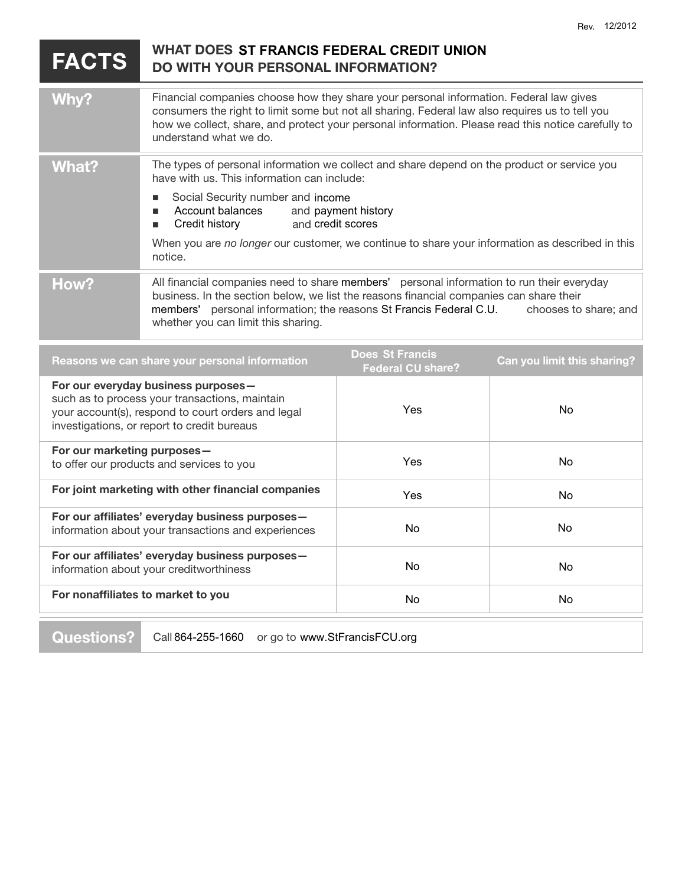## **FACTS W H AT D O E S ST FRANCIS FEDERAL CREDIT UNION DO** WITH YOUR PERSONAL INFORMATION? **Why?** Financial companies choose how they share your personal information. Federal law gives consumers the right to limit some but not all sharing. Federal law also requires us to tell you how we collect, share, and protect your personal information. Please read this notice carefully to understand what we do. **What?** The types of personal information we collect and share depend on the product or service you have with us. This information can include: **BED Social Security number and income Account balances Example 1** Credit history When you are no longer our customer, we continue to share your information as described in this notice. **How?** All financial companies need to share members' personal information to run their everyday business. In the section below, we list the reasons financial companies can share their members' personal information; the reasons St Francis Federal C.U. chooses to share; and whether you can limit this sharing. **Does St Francis** and payment history and credit scores

| Reasons we can share your personal information                                                                                                                                             | <b>DUGS OFFICIATION</b><br><b>Federal CU share?</b> | <b>Can you limit this sharing?</b> |
|--------------------------------------------------------------------------------------------------------------------------------------------------------------------------------------------|-----------------------------------------------------|------------------------------------|
| For our everyday business purposes-<br>such as to process your transactions, maintain<br>your account(s), respond to court orders and legal<br>investigations, or report to credit bureaus | Yes                                                 | No.                                |
| For our marketing purposes-<br>to offer our products and services to you                                                                                                                   | Yes                                                 | No.                                |
| For joint marketing with other financial companies                                                                                                                                         | Yes                                                 | No.                                |
| For our affiliates' everyday business purposes-<br>information about your transactions and experiences                                                                                     | No.                                                 | No.                                |
| For our affiliates' everyday business purposes-<br>information about your creditworthiness                                                                                                 | No.                                                 | No.                                |
| For nonaffiliates to market to you                                                                                                                                                         | No                                                  | No.                                |
|                                                                                                                                                                                            |                                                     |                                    |

**Questions?** Call 864-255-1660 or go to www.StFrancisFCU.org